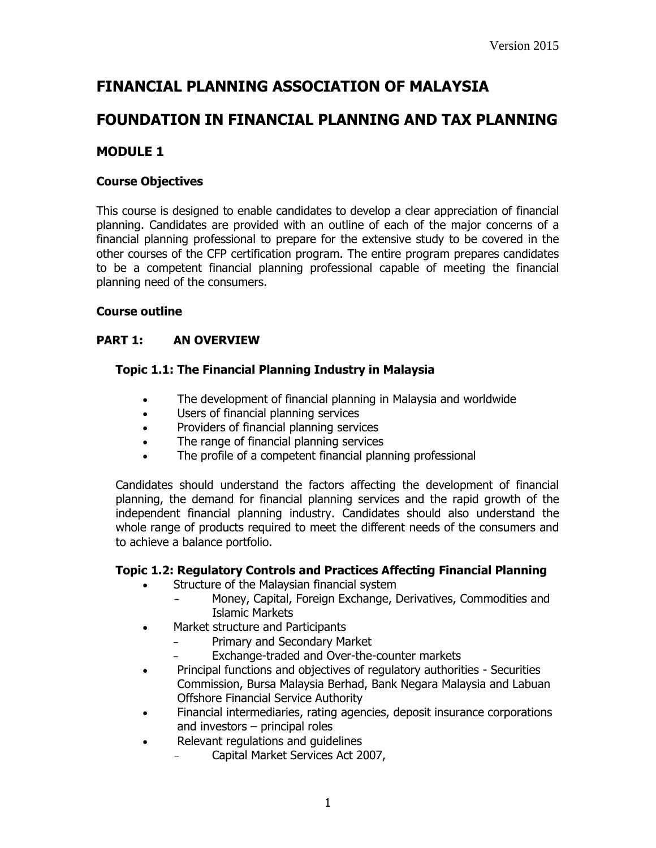# **FINANCIAL PLANNING ASSOCIATION OF MALAYSIA**

# **FOUNDATION IN FINANCIAL PLANNING AND TAX PLANNING**

# **MODULE 1**

## **Course Objectives**

This course is designed to enable candidates to develop a clear appreciation of financial planning. Candidates are provided with an outline of each of the major concerns of a financial planning professional to prepare for the extensive study to be covered in the other courses of the CFP certification program. The entire program prepares candidates to be a competent financial planning professional capable of meeting the financial planning need of the consumers.

## **Course outline**

## **PART 1: AN OVERVIEW**

#### **Topic 1.1: The Financial Planning Industry in Malaysia**

- The development of financial planning in Malaysia and worldwide
- Users of financial planning services
- Providers of financial planning services
- The range of financial planning services
- The profile of a competent financial planning professional

Candidates should understand the factors affecting the development of financial planning, the demand for financial planning services and the rapid growth of the independent financial planning industry. Candidates should also understand the whole range of products required to meet the different needs of the consumers and to achieve a balance portfolio.

#### **Topic 1.2: Regulatory Controls and Practices Affecting Financial Planning**

- Structure of the Malaysian financial system
	- Money, Capital, Foreign Exchange, Derivatives, Commodities and Islamic Markets
- Market structure and Participants
	- Primary and Secondary Market
	- Exchange-traded and Over-the-counter markets
- Principal functions and objectives of regulatory authorities Securities Commission, Bursa Malaysia Berhad, Bank Negara Malaysia and Labuan Offshore Financial Service Authority
- Financial intermediaries, rating agencies, deposit insurance corporations and investors – principal roles
- Relevant regulations and quidelines
	- Capital Market Services Act 2007,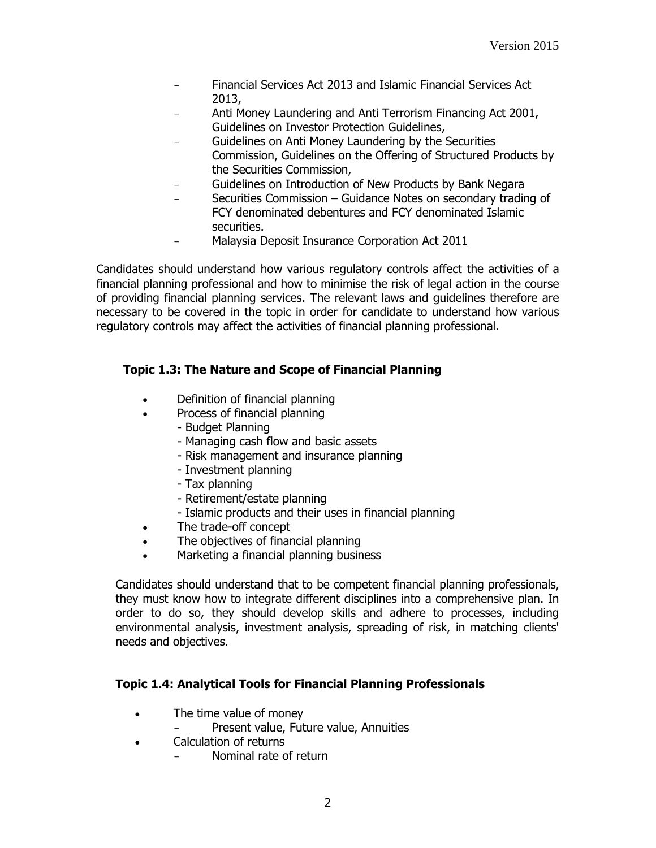- Financial Services Act 2013 and Islamic Financial Services Act 2013,
- Anti Money Laundering and Anti Terrorism Financing Act 2001, Guidelines on Investor Protection Guidelines,
- Guidelines on Anti Money Laundering by the Securities Commission, Guidelines on the Offering of Structured Products by the Securities Commission,
- Guidelines on Introduction of New Products by Bank Negara
- Securities Commission Guidance Notes on secondary trading of FCY denominated debentures and FCY denominated Islamic securities.
- Malaysia Deposit Insurance Corporation Act 2011

Candidates should understand how various regulatory controls affect the activities of a financial planning professional and how to minimise the risk of legal action in the course of providing financial planning services. The relevant laws and guidelines therefore are necessary to be covered in the topic in order for candidate to understand how various regulatory controls may affect the activities of financial planning professional.

# **Topic 1.3: The Nature and Scope of Financial Planning**

- Definition of financial planning
- Process of financial planning
	- Budget Planning
	- Managing cash flow and basic assets
	- Risk management and insurance planning
	- Investment planning
	- Tax planning
	- Retirement/estate planning
	- Islamic products and their uses in financial planning
- The trade-off concept
- The objectives of financial planning
- Marketing a financial planning business

Candidates should understand that to be competent financial planning professionals, they must know how to integrate different disciplines into a comprehensive plan. In order to do so, they should develop skills and adhere to processes, including environmental analysis, investment analysis, spreading of risk, in matching clients' needs and objectives.

# **Topic 1.4: Analytical Tools for Financial Planning Professionals**

- The time value of money
	- Present value, Future value, Annuities
- Calculation of returns
	- Nominal rate of return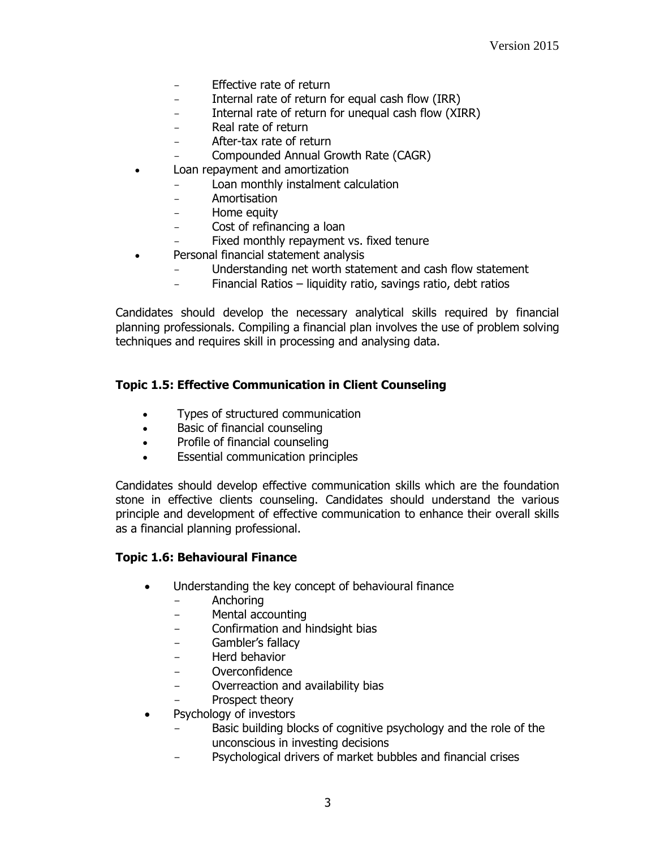- Effective rate of return
- Internal rate of return for equal cash flow (IRR)
- Internal rate of return for unequal cash flow (XIRR)
- Real rate of return
- After-tax rate of return
- Compounded Annual Growth Rate (CAGR)
- Loan repayment and amortization
	- Loan monthly instalment calculation
	- Amortisation
	- Home equity
	- Cost of refinancing a loan
	- Fixed monthly repayment vs. fixed tenure
- Personal financial statement analysis
	- Understanding net worth statement and cash flow statement
	- Financial Ratios liquidity ratio, savings ratio, debt ratios

Candidates should develop the necessary analytical skills required by financial planning professionals. Compiling a financial plan involves the use of problem solving techniques and requires skill in processing and analysing data.

## **Topic 1.5: Effective Communication in Client Counseling**

- Types of structured communication
- Basic of financial counseling
- Profile of financial counseling
- Essential communication principles

Candidates should develop effective communication skills which are the foundation stone in effective clients counseling. Candidates should understand the various principle and development of effective communication to enhance their overall skills as a financial planning professional.

#### **Topic 1.6: Behavioural Finance**

- Understanding the key concept of behavioural finance
	- Anchoring
	- Mental accounting
	- Confirmation and hindsight bias
	- Gambler's fallacy
	- Herd behavior
	- Overconfidence
	- Overreaction and availability bias
	- Prospect theory
- Psychology of investors
	- Basic building blocks of cognitive psychology and the role of the unconscious in investing decisions
	- Psychological drivers of market bubbles and financial crises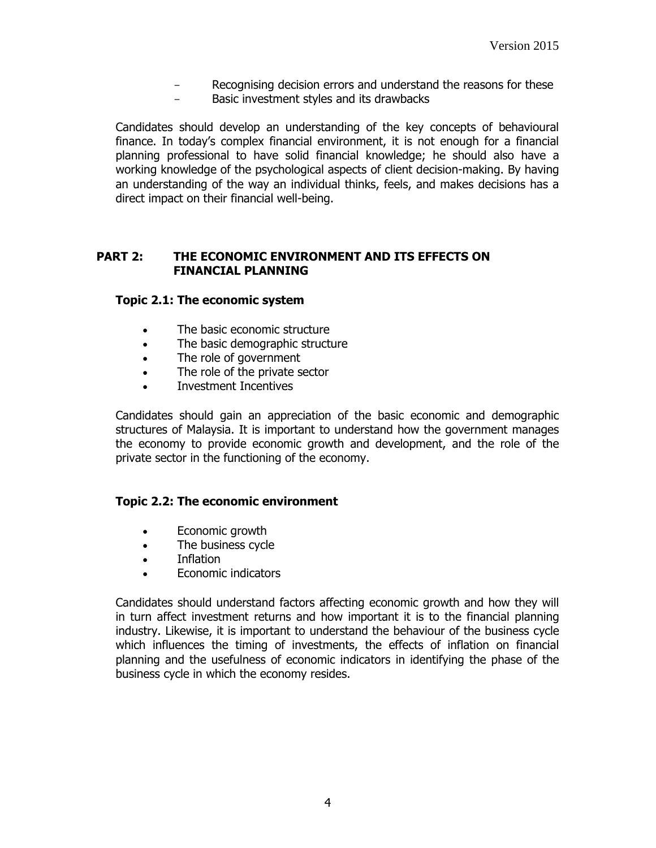- Recognising decision errors and understand the reasons for these
- Basic investment styles and its drawbacks

Candidates should develop an understanding of the key concepts of behavioural finance. In today's complex financial environment, it is not enough for a financial planning professional to have solid financial knowledge; he should also have a working knowledge of the psychological aspects of client decision-making. By having an understanding of the way an individual thinks, feels, and makes decisions has a direct impact on their financial well-being.

## **PART 2: THE ECONOMIC ENVIRONMENT AND ITS EFFECTS ON FINANCIAL PLANNING**

#### **Topic 2.1: The economic system**

- The basic economic structure
- The basic demographic structure
- The role of government
- The role of the private sector
- Investment Incentives

Candidates should gain an appreciation of the basic economic and demographic structures of Malaysia. It is important to understand how the government manages the economy to provide economic growth and development, and the role of the private sector in the functioning of the economy.

#### **Topic 2.2: The economic environment**

- Economic growth
- The business cycle
- Inflation
- Economic indicators

Candidates should understand factors affecting economic growth and how they will in turn affect investment returns and how important it is to the financial planning industry. Likewise, it is important to understand the behaviour of the business cycle which influences the timing of investments, the effects of inflation on financial planning and the usefulness of economic indicators in identifying the phase of the business cycle in which the economy resides.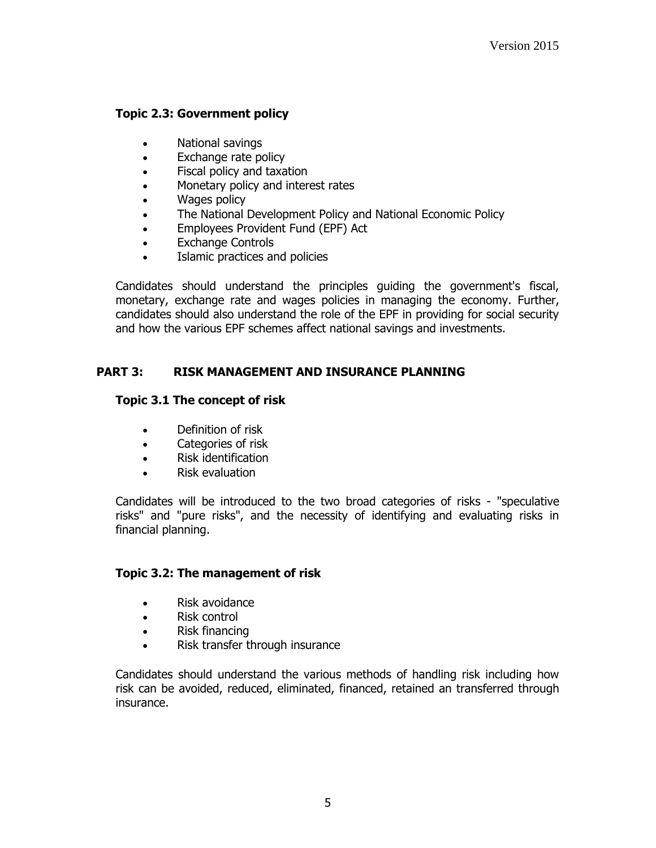## **Topic 2.3: Government policy**

- National savings
- Exchange rate policy
- Fiscal policy and taxation
- Monetary policy and interest rates
- Wages policy
- The National Development Policy and National Economic Policy
- Employees Provident Fund (EPF) Act
- Exchange Controls
- Islamic practices and policies

Candidates should understand the principles guiding the government's fiscal, monetary, exchange rate and wages policies in managing the economy. Further, candidates should also understand the role of the EPF in providing for social security and how the various EPF schemes affect national savings and investments.

# **PART 3: RISK MANAGEMENT AND INSURANCE PLANNING**

## **Topic 3.1 The concept of risk**

- Definition of risk
- Categories of risk
- Risk identification
- Risk evaluation

Candidates will be introduced to the two broad categories of risks - "speculative risks" and "pure risks", and the necessity of identifying and evaluating risks in financial planning.

## **Topic 3.2: The management of risk**

- Risk avoidance
- Risk control
- Risk financing
- Risk transfer through insurance

Candidates should understand the various methods of handling risk including how risk can be avoided, reduced, eliminated, financed, retained an transferred through insurance.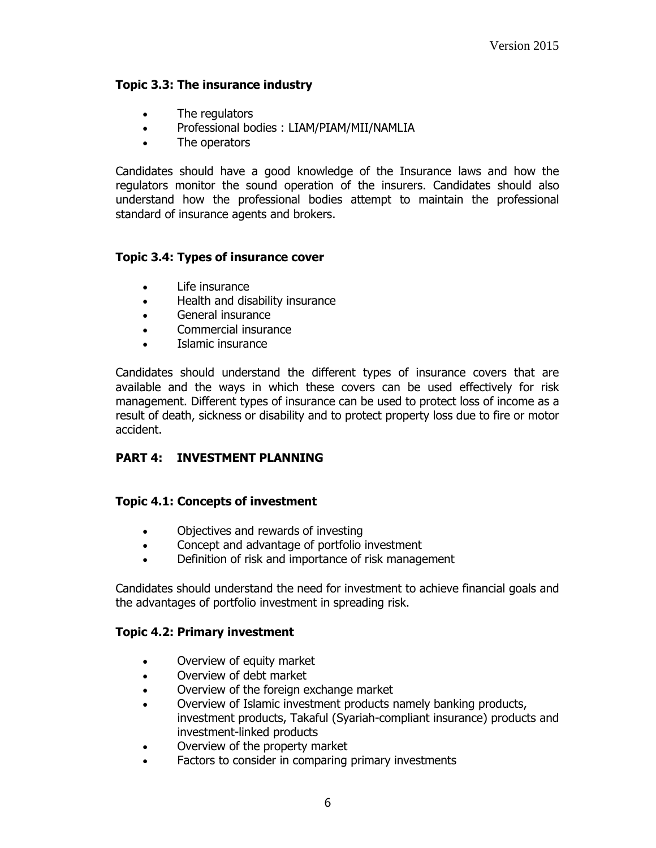#### **Topic 3.3: The insurance industry**

- The regulators
- Professional bodies : LIAM/PIAM/MII/NAMLIA
- The operators

Candidates should have a good knowledge of the Insurance laws and how the regulators monitor the sound operation of the insurers. Candidates should also understand how the professional bodies attempt to maintain the professional standard of insurance agents and brokers.

#### **Topic 3.4: Types of insurance cover**

- Life insurance
- Health and disability insurance
- General insurance
- Commercial insurance
- Islamic insurance

Candidates should understand the different types of insurance covers that are available and the ways in which these covers can be used effectively for risk management. Different types of insurance can be used to protect loss of income as a result of death, sickness or disability and to protect property loss due to fire or motor accident.

## **PART 4: INVESTMENT PLANNING**

#### **Topic 4.1: Concepts of investment**

- Objectives and rewards of investing
- Concept and advantage of portfolio investment
- Definition of risk and importance of risk management

Candidates should understand the need for investment to achieve financial goals and the advantages of portfolio investment in spreading risk.

#### **Topic 4.2: Primary investment**

- Overview of equity market
- Overview of debt market
- Overview of the foreign exchange market
- Overview of Islamic investment products namely banking products, investment products, Takaful (Syariah-compliant insurance) products and investment-linked products
- Overview of the property market
- Factors to consider in comparing primary investments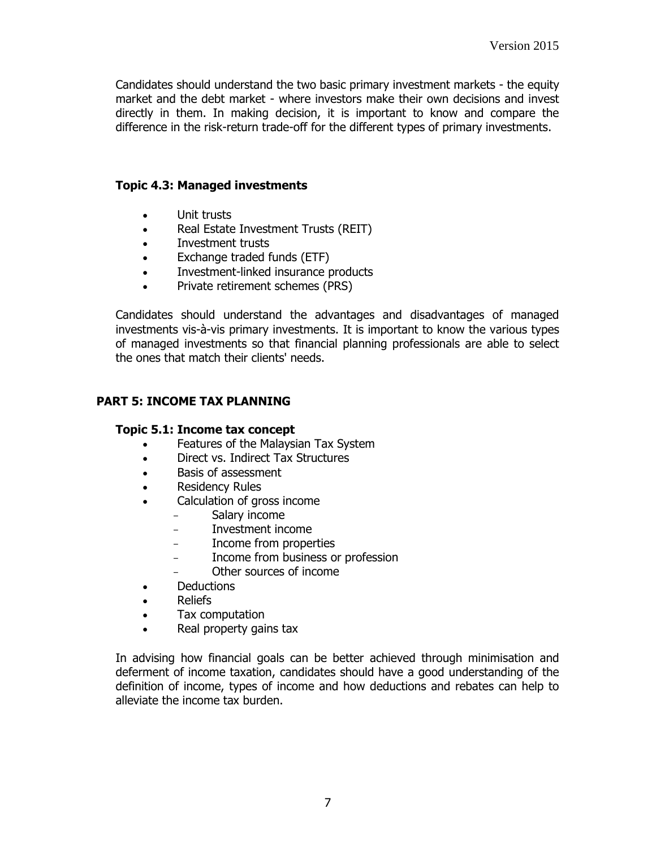Candidates should understand the two basic primary investment markets - the equity market and the debt market - where investors make their own decisions and invest directly in them. In making decision, it is important to know and compare the difference in the risk-return trade-off for the different types of primary investments.

#### **Topic 4.3: Managed investments**

- Unit trusts
- Real Estate Investment Trusts (REIT)
- Investment trusts
- Exchange traded funds (ETF)
- Investment-linked insurance products
- Private retirement schemes (PRS)

Candidates should understand the advantages and disadvantages of managed investments vis-à-vis primary investments. It is important to know the various types of managed investments so that financial planning professionals are able to select the ones that match their clients' needs.

## **PART 5: INCOME TAX PLANNING**

#### **Topic 5.1: Income tax concept**

- Features of the Malaysian Tax System
- Direct vs. Indirect Tax Structures
- Basis of assessment
- Residency Rules
- Calculation of gross income
	- Salary income
	- Investment income
	- Income from properties
	- Income from business or profession
	- Other sources of income
- Deductions
- Reliefs
- Tax computation
- Real property gains tax

In advising how financial goals can be better achieved through minimisation and deferment of income taxation, candidates should have a good understanding of the definition of income, types of income and how deductions and rebates can help to alleviate the income tax burden.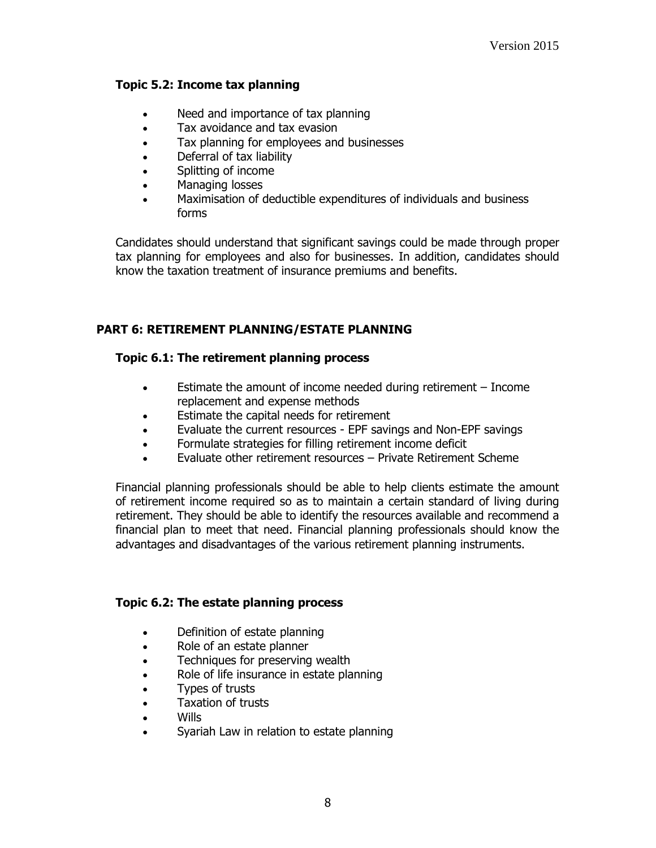#### **Topic 5.2: Income tax planning**

- Need and importance of tax planning
- Tax avoidance and tax evasion
- Tax planning for employees and businesses
- Deferral of tax liability
- Splitting of income
- Managing losses
- Maximisation of deductible expenditures of individuals and business forms

Candidates should understand that significant savings could be made through proper tax planning for employees and also for businesses. In addition, candidates should know the taxation treatment of insurance premiums and benefits.

## **PART 6: RETIREMENT PLANNING/ESTATE PLANNING**

## **Topic 6.1: The retirement planning process**

- Estimate the amount of income needed during retirement Income replacement and expense methods
- Estimate the capital needs for retirement
- Evaluate the current resources EPF savings and Non-EPF savings
- Formulate strategies for filling retirement income deficit
- Evaluate other retirement resources Private Retirement Scheme

Financial planning professionals should be able to help clients estimate the amount of retirement income required so as to maintain a certain standard of living during retirement. They should be able to identify the resources available and recommend a financial plan to meet that need. Financial planning professionals should know the advantages and disadvantages of the various retirement planning instruments.

#### **Topic 6.2: The estate planning process**

- Definition of estate planning
- Role of an estate planner
- Techniques for preserving wealth
- Role of life insurance in estate planning
- Types of trusts
- Taxation of trusts
- Wills
- Syariah Law in relation to estate planning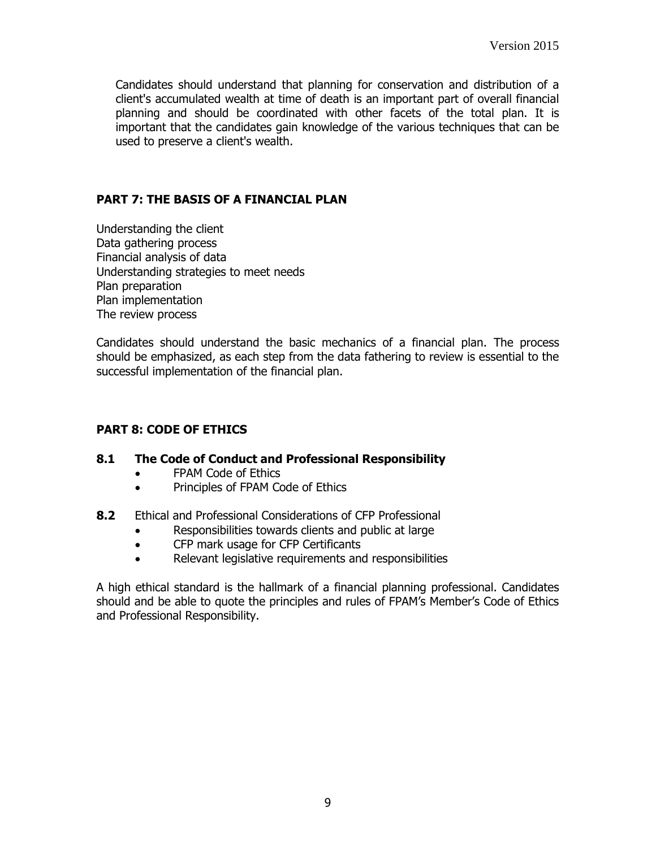Candidates should understand that planning for conservation and distribution of a client's accumulated wealth at time of death is an important part of overall financial planning and should be coordinated with other facets of the total plan. It is important that the candidates gain knowledge of the various techniques that can be used to preserve a client's wealth.

## **PART 7: THE BASIS OF A FINANCIAL PLAN**

Understanding the client Data gathering process Financial analysis of data Understanding strategies to meet needs Plan preparation Plan implementation The review process

Candidates should understand the basic mechanics of a financial plan. The process should be emphasized, as each step from the data fathering to review is essential to the successful implementation of the financial plan.

# **PART 8: CODE OF ETHICS**

## **8.1 The Code of Conduct and Professional Responsibility**

- FPAM Code of Ethics
- Principles of FPAM Code of Ethics
- **8.2** Ethical and Professional Considerations of CFP Professional
	- Responsibilities towards clients and public at large
	- CFP mark usage for CFP Certificants
	- Relevant legislative requirements and responsibilities

A high ethical standard is the hallmark of a financial planning professional. Candidates should and be able to quote the principles and rules of FPAM's Member's Code of Ethics and Professional Responsibility.